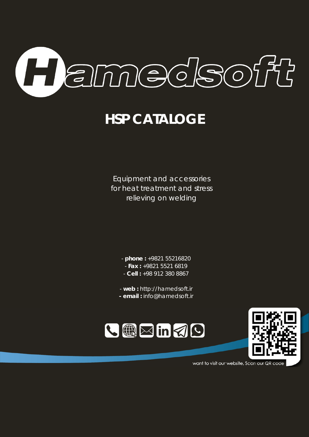

# **HSP CATALOGE**

Equipment and accessories for heat treatment and stress relieving on welding

- **phone :** +9821 55216820
- **Fax :** +9821 5521 6819
- **Cell :** +98 912 380 8867
- **web :** http://hamedsoft.ir
- **- email :** info@hamedsoft.ir





want to visit our website, Scan our QR code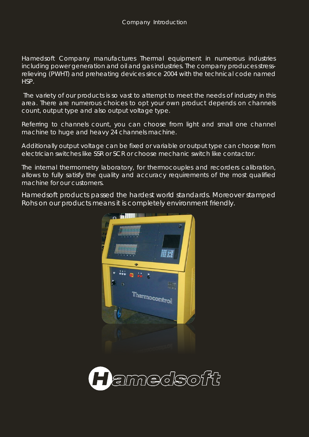Hamedsoft Company manufactures Thermal equipment in numerous industries including power generation and oil and gas industries. The company produces stressrelieving (PWHT) and preheating devices since 2004 with the technical code named HSP.

The variety of our products is so vast to attempt to meet the needs of industry in this area. There are numerous choices to opt your own product depends on channels count, output type and also output voltage type.

Referring to channels count, you can choose from light and small one channel machine to huge and heavy 24 channels machine.

Additionally output voltage can be fixed or variable or output type can choose from electrician switches like SSR or SCR or choose mechanic switch like contactor.

The internal thermometry laboratory, for thermocouples and recorders calibration, allows to fully satisfy the quality and accuracy requirements of the most qualified machine for our customers.

Hamedsoft products passed the hardest world standards. Moreover stamped Rohs on our products means it is completely environment friendly.



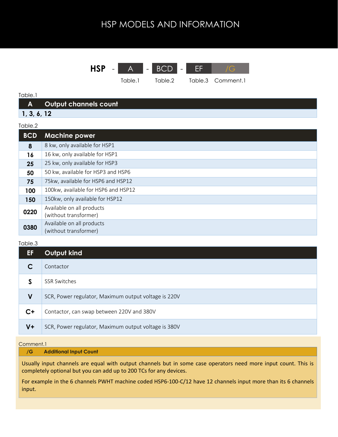

#### Table.1

| <b>AZ</b> | Output channels count' |
|-----------|------------------------|
|           |                        |

## **1, 3, 6, 12**

#### Table.2 **BCD Machine power 8** 8 kw, only available for HSP1 **16** 16 kw, only available for HSP1 **25** 25 kw, only available for HSP3 **50** 50 kw, available for HSP3 and HSP6 **75** 75kw, available for HSP6 and HSP12 **100** 100kw, available for HSP6 and HSP12 **150** 150kw, only available for HSP12 **0220** Available on all products (without transformer) **0380** Available on all products (without transformer)

#### Table.3

| EF          | Output kind                                          |
|-------------|------------------------------------------------------|
|             | Contactor                                            |
| S           | <b>SSR Switches</b>                                  |
| $\mathbf V$ | SCR, Power regulator, Maximum output voltage is 220V |
| C+          | Contactor, can swap between 220V and 380V            |
| $V +$       | SCR, Power regulator, Maximum output voltage is 380V |

#### Comment.1

#### **/G Additional Input Count**

Usually input channels are equal with output channels but in some case operators need more input count. This is completely optional but you can add up to 200 TCs for any devices.

For example in the 6 channels PWHT machine coded HSP6-100-C/12 have 12 channels input more than its 6 channels input.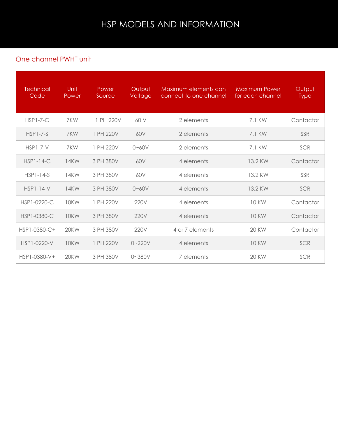### One channel PWHT unit

| <b>Technical</b><br>Code | Unit<br>Power | Power<br>Source | Output<br>Voltage | Maximum elements can<br>connect to one channel | <b>Maximum Power</b><br>for each channel | Output<br><b>Type</b> |
|--------------------------|---------------|-----------------|-------------------|------------------------------------------------|------------------------------------------|-----------------------|
| $HSP1-7-C$               | 7KW           | 1 PH 220V       | 60 V              | 2 elements                                     | 7.1 KW                                   | Contactor             |
| $HSP1-7-S$               | 7KW           | 1 PH 220V       | 60V               | 2 elements                                     | 7.1 KW                                   | SSR                   |
| $HSP1-7-V$               | 7KW           | 1 PH 220V       | $0 - 60V$         | 2 elements                                     | 7.1 KW                                   | SCR                   |
| $HSP1-14-C$              | 14KW          | 3 PH 380V       | 60V               | 4 elements                                     | 13.2 KW                                  | Contactor             |
| $HSP1-14-S$              | 14KW          | 3 PH 380V       | 60V               | 4 elements                                     | 13.2 KW                                  | SSR                   |
| $HSP1-14-V$              | 14KW          | 3 PH 380V       | $0 - 60V$         | 4 elements                                     | 13.2 KW                                  | SCR                   |
| HSP1-0220-C              | 10KW          | 1 PH 220V       | 220V              | 4 elements                                     | <b>10 KW</b>                             | Contactor             |
| HSP1-0380-C              | 10KW          | 3 PH 380V       | 220V              | 4 elements                                     | <b>10 KW</b>                             | Contactor             |
| HSP1-0380-C+             | 20KW          | 3 PH 380V       | 220V              | 4 or 7 elements                                | <b>20 KW</b>                             | Contactor             |
| HSP1-0220-V              | 10KW          | 1 PH 220V       | $0 - 220V$        | 4 elements                                     | <b>10 KW</b>                             | SCR                   |
| HSP1-0380-V+             | 20KW          | 3 PH 380V       | $0 - 380V$        | 7 elements                                     | <b>20 KW</b>                             | SCR                   |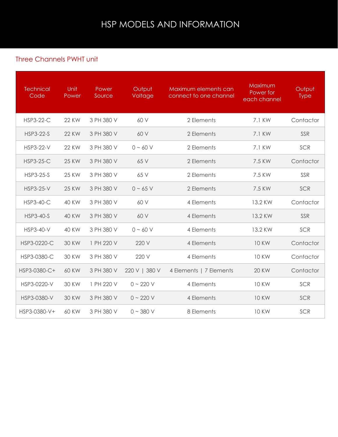### Three Channels PWHT unit

| <b>Technical</b><br>Code | Unit<br>Power | Power<br>Source | Output<br>Voltage | Maximum elements can<br>connect to one channel | Maximum<br>Power for<br>each channel | Output<br><b>Type</b> |
|--------------------------|---------------|-----------------|-------------------|------------------------------------------------|--------------------------------------|-----------------------|
| <b>HSP3-22-C</b>         | <b>22 KW</b>  | 3 PH 380 V      | 60 V              | 2 Elements                                     | 7.1 KW                               | Contactor             |
| <b>HSP3-22-S</b>         | <b>22 KW</b>  | 3 PH 380 V      | 60 V              | 2 Elements                                     | 7.1 KW                               | SSR                   |
| <b>HSP3-22-V</b>         | <b>22 KW</b>  | 3 PH 380 V      | $0 \sim 60$ V     | 2 Elements                                     | 7.1 KW                               | SCR                   |
| <b>HSP3-25-C</b>         | <b>25 KW</b>  | 3 PH 380 V      | 65 V              | 2 Elements                                     | 7.5 KW                               | Contactor             |
| <b>HSP3-25-S</b>         | <b>25 KW</b>  | 3 PH 380 V      | 65 V              | 2 Elements                                     | 7.5 KW                               | SSR                   |
| <b>HSP3-25-V</b>         | <b>25 KW</b>  | 3 PH 380 V      | $0 - 65$ V        | 2 Elements                                     | 7.5 KW                               | SCR                   |
| <b>HSP3-40-C</b>         | <b>40 KW</b>  | 3 PH 380 V      | 60 V              | 4 Elements                                     | 13.2 KW                              | Contactor             |
| <b>HSP3-40-S</b>         | 40 KW         | 3 PH 380 V      | 60 V              | 4 Elements                                     | 13.2 KW                              | SSR                   |
| <b>HSP3-40-V</b>         | <b>40 KW</b>  | 3 PH 380 V      | $0 \sim 60$ V     | 4 Elements                                     | 13.2 KW                              | SCR                   |
| HSP3-0220-C              | <b>30 KW</b>  | 1 PH 220 V      | 220 V             | 4 Elements                                     | <b>10 KW</b>                         | Contactor             |
| HSP3-0380-C              | <b>30 KW</b>  | 3 PH 380 V      | 220 V             | 4 Elements                                     | <b>10 KW</b>                         | Contactor             |
| HSP3-0380-C+             | <b>60 KW</b>  | 3 PH 380 V      | 220 V   380 V     | 4 Elements   7 Elements                        | <b>20 KW</b>                         | Contactor             |
| HSP3-0220-V              | <b>30 KW</b>  | 1 PH 220 V      | $0 - 220 V$       | 4 Elements                                     | <b>10 KW</b>                         | SCR                   |
| HSP3-0380-V              | <b>30 KW</b>  | 3 PH 380 V      | $0 - 220 V$       | 4 Elements                                     | <b>10 KW</b>                         | SCR                   |
| HSP3-0380-V+             | 60 KW         | 3 PH 380 V      | $0 - 380 V$       | 8 Elements                                     | <b>10 KW</b>                         | SCR                   |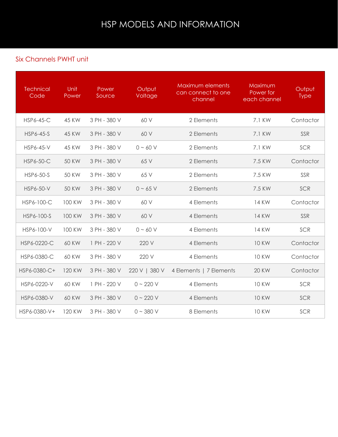### Six Channels PWHT unit

| <b>Technical</b><br>Code | Unit<br>Power | Power<br>Source | Output<br>Voltage | Maximum elements<br>can connect to one<br>channel | Maximum<br>Power for<br>each channel | Output<br><b>Type</b> |
|--------------------------|---------------|-----------------|-------------------|---------------------------------------------------|--------------------------------------|-----------------------|
| <b>HSP6-45-C</b>         | 45 KW         | 3 PH - 380 V    | 60 V              | 2 Elements                                        | 7.1 KW                               | Contactor             |
| <b>HSP6-45-S</b>         | <b>45 KW</b>  | 3 PH - 380 V    | 60 V              | 2 Elements                                        | 7.1 KW                               | SSR                   |
| <b>HSP6-45-V</b>         | <b>45 KW</b>  | 3 PH - 380 V    | $0 \sim 60$ V     | 2 Elements                                        | 7.1 KW                               | SCR                   |
| <b>HSP6-50-C</b>         | <b>50 KW</b>  | 3 PH - 380 V    | 65 V              | 2 Elements                                        | 7.5 KW                               | Contactor             |
| HSP6-50-S                | 50 KW         | 3 PH - 380 V    | 65 V              | 2 Elements                                        | 7.5 KW                               | SSR                   |
| <b>HSP6-50-V</b>         | <b>50 KW</b>  | 3 PH - 380 V    | $0 - 65$ V        | 2 Elements                                        | 7.5 KW                               | SCR                   |
| HSP6-100-C               | <b>100 KW</b> | 3 PH - 380 V    | 60 V              | 4 Elements                                        | 14 KW                                | Contactor             |
| HSP6-100-S               | 100 KW        | 3 PH - 380 V    | 60 V              | 4 Elements                                        | <b>14 KW</b>                         | SSR                   |
| HSP6-100-V               | 100 KW        | 3 PH - 380 V    | $0 \sim 60$ V     | 4 Elements                                        | 14 KW                                | SCR                   |
| HSP6-0220-C              | <b>60 KW</b>  | 1 PH - 220 V    | 220 V             | 4 Elements                                        | <b>10 KW</b>                         | Contactor             |
| HSP6-0380-C              | <b>60 KW</b>  | 3 PH - 380 V    | 220 V             | 4 Elements                                        | <b>10 KW</b>                         | Contactor             |
| HSP6-0380-C+             | 120 KW        | 3 PH - 380 V    | 220 V   380 V     | 4 Elements   7 Elements                           | <b>20 KW</b>                         | Contactor             |
| HSP6-0220-V              | 60 KW         | 1 PH - 220 V    | $0 - 220 V$       | 4 Elements                                        | <b>10 KW</b>                         | SCR                   |
| HSP6-0380-V              | 60 KW         | 3 PH - 380 V    | $0 - 220 V$       | 4 Elements                                        | <b>10 KW</b>                         | SCR                   |
| HSP6-0380-V+             | 120 KW        | 3 PH - 380 V    | $0 \sim 380$ V    | 8 Elements                                        | <b>10 KW</b>                         | SCR                   |